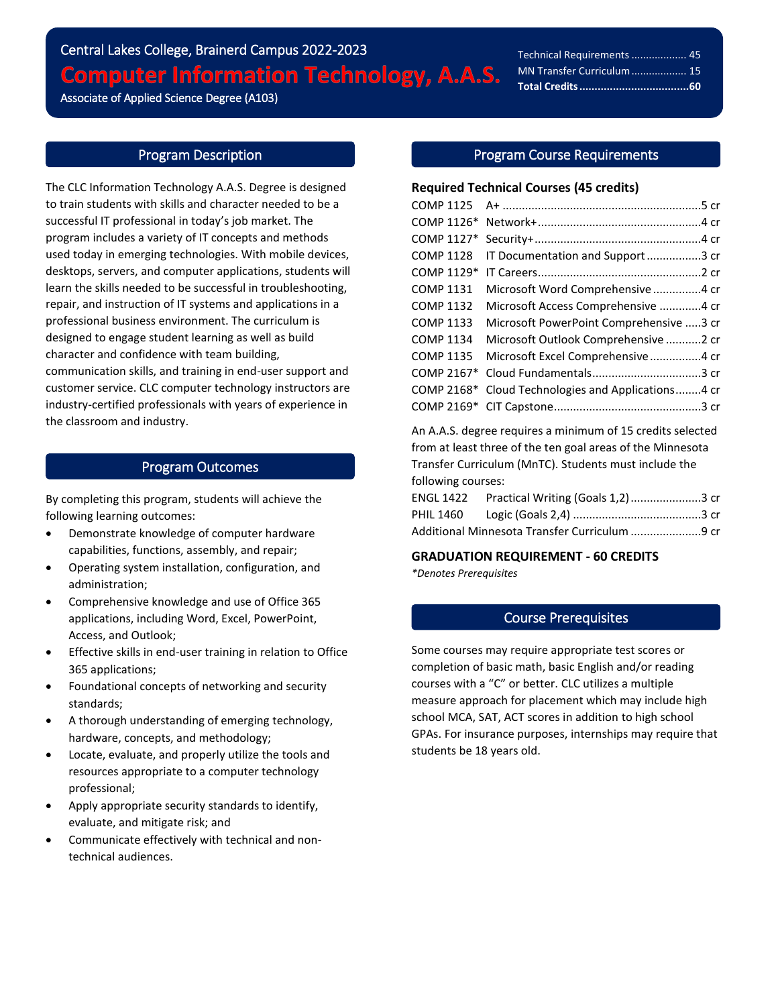# Central Lakes College, Brainerd Campus 2022-2023 **Computer Information Technology, A.A.S.**

Associate of Applied Science Degree (A103)

l

# Program Description

The CLC Information Technology A.A.S. Degree is designed to train students with skills and character needed to be a successful IT professional in today's job market. The program includes a variety of IT concepts and methods used today in emerging technologies. With mobile devices, desktops, servers, and computer applications, students will learn the skills needed to be successful in troubleshooting, repair, and instruction of IT systems and applications in a professional business environment. The curriculum is designed to engage student learning as well as build character and confidence with team building, communication skills, and training in end-user support and customer service. CLC computer technology instructors are industry-certified professionals with years of experience in the classroom and industry.

## Program Outcomes

By completing this program, students will achieve the following learning outcomes:

- Demonstrate knowledge of computer hardware capabilities, functions, assembly, and repair;
- Operating system installation, configuration, and administration;
- Comprehensive knowledge and use of Office 365 applications, including Word, Excel, PowerPoint, Access, and Outlook;
- Effective skills in end-user training in relation to Office 365 applications;
- Foundational concepts of networking and security standards;
- A thorough understanding of emerging technology, hardware, concepts, and methodology;
- Locate, evaluate, and properly utilize the tools and resources appropriate to a computer technology professional;
- Apply appropriate security standards to identify, evaluate, and mitigate risk; and
- Communicate effectively with technical and nontechnical audiences.

# Program Course Requirements

## **Required Technical Courses (45 credits)**

| COMP 1125        |                                         |
|------------------|-----------------------------------------|
| COMP 1126*       |                                         |
| COMP 1127*       |                                         |
| <b>COMP 1128</b> | IT Documentation and Support3 cr        |
| COMP 1129*       |                                         |
| <b>COMP 1131</b> | Microsoft Word Comprehensive4 cr        |
| <b>COMP 1132</b> | Microsoft Access Comprehensive 4 cr     |
| <b>COMP 1133</b> | Microsoft PowerPoint Comprehensive 3 cr |
| <b>COMP 1134</b> | Microsoft Outlook Comprehensive 2 cr    |
| <b>COMP 1135</b> | Microsoft Excel Comprehensive4 cr       |
| COMP 2167*       |                                         |
| COMP 2168*       | Cloud Technologies and Applications4 cr |
|                  |                                         |

An A.A.S. degree requires a minimum of 15 credits selected from at least three of the ten goal areas of the Minnesota Transfer Curriculum (MnTC). Students must include the following courses:

| ENGL 1422    Practical Writing (Goals 1,2) 3 cr |  |
|-------------------------------------------------|--|
|                                                 |  |
| Additional Minnesota Transfer Curriculum 9 cr   |  |

## **GRADUATION REQUIREMENT - 60 CREDITS**

*\*Denotes Prerequisites*

## Course Prerequisites

Some courses may require appropriate test scores or completion of basic math, basic English and/or reading courses with a "C" or better. CLC utilizes a multiple measure approach for placement which may include high school MCA, SAT, ACT scores in addition to high school GPAs. For insurance purposes, internships may require that students be 18 years old.

Technical Requirements................... 45 MN Transfer Curriculum................... 15 **Total Credits....................................60**